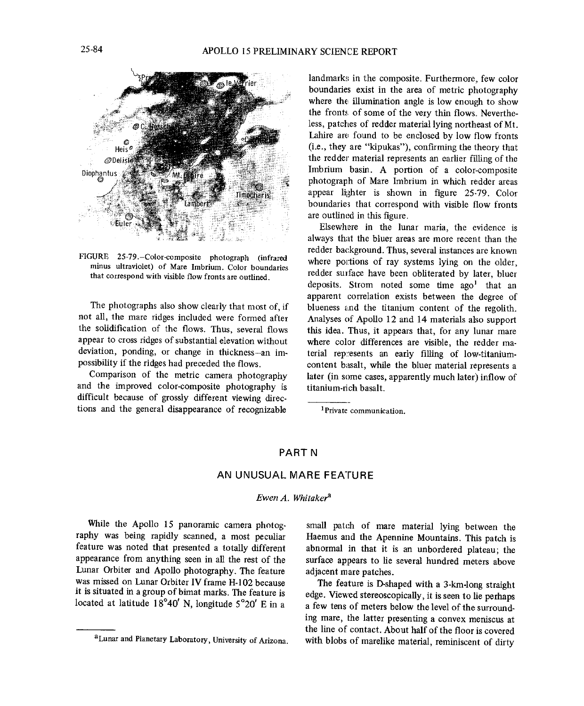

that correspond with visible flow fronts are outlined.

not all, the mare ridges included were formed after the solidification of the flows. Thus, several flows the solidification of the flows. Thus, several flows this idea. Thus, it appears that, for any lunar mare<br>appear to cross ridges of substantial elevation without where color differences are visible, the redder maappear to cross ridges of substantial elevation without where color differences are visible, the redder ma-<br>deviation, ponding, or change in thickness-an im-<br>terial represents an early filling of low-titaniumdeviation, ponding, or change in thickness-an im-<br>
possibility if the ridges had preceded the flows.<br>
content basalt, while the bluer material represents a

and the improved color-composite photography is difficult because of grossly different viewing directions and the general disappearance of recognizable <sup>1</sup>Private communication.

landmarks in the composite. Furthermore, few color boundaries exist in the area of metric photography where the illumination angle is low enough to show<br>the fronts of some of the very thin flows. Neverthethe front*.*,*,* of some of the very thin flows. Nevertheless, patches of redder material lying northeas**t** of Mr. Lahire are found to be enclosed by low flow fronts (i.e., they are "kipukas"), confirming the theory that the redder material represents an earlier filling of the Imbrium basin. A portion of a color-composite  $\frac{1}{2}$  photograph of Mare Imbrium in which redder areas appear lighter is shown in figure  $25-79$ . Color boundaries that correspond with visible flow fronts are outlined in this figure.

Elsewhere in the lunar maria, the evidence is always that the bluer areas are more recent than the redder background. Thus, several instances are known<br>where pottions of ray systems lying on the older, FIGURE 25-79.-Color-composite photograph (infrared where poi; tions of ray systems lying on the older, minus ultraviolet) of Mare Imbrium. Color boundaries redder surface have been obliterated by later, bluer deposits. Strom noted some time  $ago<sup>1</sup>$  that an apparent correlation exists between the degree of The photographs also show clearly that most of, if blueness and the titanium content of the regolith.<br>
t all, the mare ridges included were formed after Analyses of Apollo 12 and 14 materials also support ssibility if the ridges had preceded the flows.<br>Comparison of the metric camera photography later (in some cases, apparently much later) inflow of later (in some cases, apparently much later) inflow of titanium-rich basalt.

## PART N

## AN UNUSUAL MARE FEATURE

## *Ewen A*. *Whitaker* a

While the Apollo 15 panoramic camera photog-<br>
raphy was being rapidly scanned, a most peculiar Haemus and the Apennine Mountains. This patch is feature was noted that presented a totally different abnormal in that it is an unbordered plateau; the Lunar Orbiter and Apollo photography. The feature<br>was missed on Lunar Orbiter IV frame H-102 because was missed on Lunar Orbiter IV frame H-102 because The feature is D-shaped with a 3-km-long straight it is situated in a group of bimat marks. The feature is edge. Viewed stereoscopically, it is seen to lie perhaps located at latitude 18°40' N, longitude 5°20' E in a

raphy was being rapidly scanned, a most peculiar Haemus and the Apennine Mountains. This patch is<br>feature was noted that presented a totally different abnormal in that it is an unbordered plateau; the surface appears to lie several hundred meters above adjacent mare patches.

a few tens of meters below the level of the surrounding mare, the latter presenting a convex meniscus at the line of contact. About half of the floor is covered aLunar and Planetar**y** Labo**r**atory, Uni**v**ersi**t**yof Ar**i**zona**.** with blobs of marelike material, reminiscent of dirty